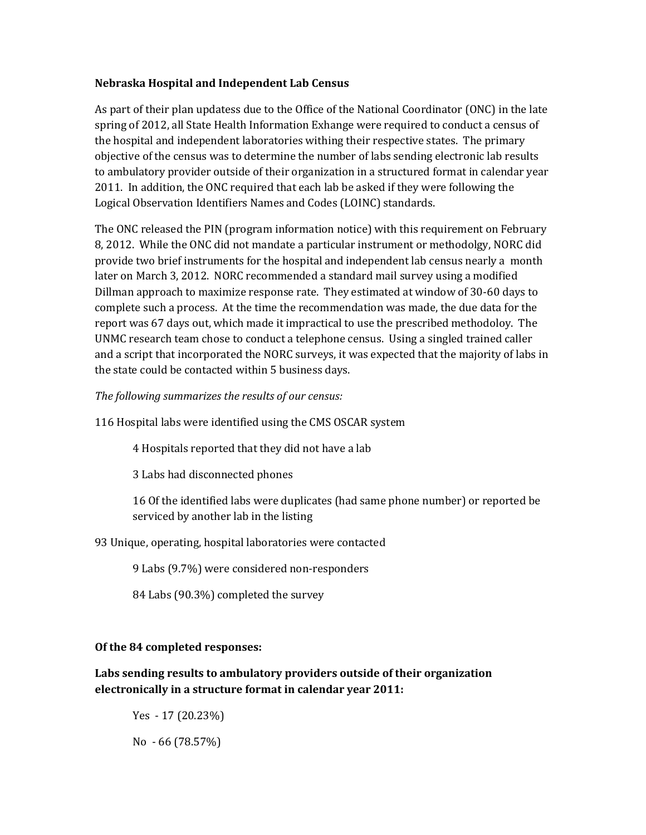#### **Nebraska Hospital and Independent Lab Census**

As part of their plan updatess due to the Office of the National Coordinator (ONC) in the late spring of 2012, all State Health Information Exhange were required to conduct a census of the hospital and independent laboratories withing their respective states. The primary objective of the census was to determine the number of labs sending electronic lab results to ambulatory provider outside of their organization in a structured format in calendar year 2011. In addition, the ONC required that each lab be asked if they were following the Logical Observation Identifiers Names and Codes (LOINC) standards.

The ONC released the PIN (program information notice) with this requirement on February 8, 2012. While the ONC did not mandate a particular instrument or methodolgy, NORC did provide two brief instruments for the hospital and independent lab census nearly a month later on March 3, 2012. NORC recommended a standard mail survey using a modified Dillman approach to maximize response rate. They estimated at window of 30-60 days to complete such a process. At the time the recommendation was made, the due data for the report was 67 days out, which made it impractical to use the prescribed methodoloy. The UNMC research team chose to conduct a telephone census. Using a singled trained caller and a script that incorporated the NORC surveys, it was expected that the majority of labs in the state could be contacted within 5 business days.

*The following summarizes the results of our census:*

116 Hospital labs were identified using the CMS OSCAR system

4 Hospitals reported that they did not have a lab

3 Labs had disconnected phones

16 Of the identified labs were duplicates (had same phone number) or reported be serviced by another lab in the listing

93 Unique, operating, hospital laboratories were contacted

9 Labs (9.7%) were considered non-responders

84 Labs (90.3%) completed the survey

# **Of the 84 completed responses:**

**Labs sending results to ambulatory providers outside of their organization electronically in a structure format in calendar year 2011:**

Yes - 17 (20.23%) No - 66 (78.57%)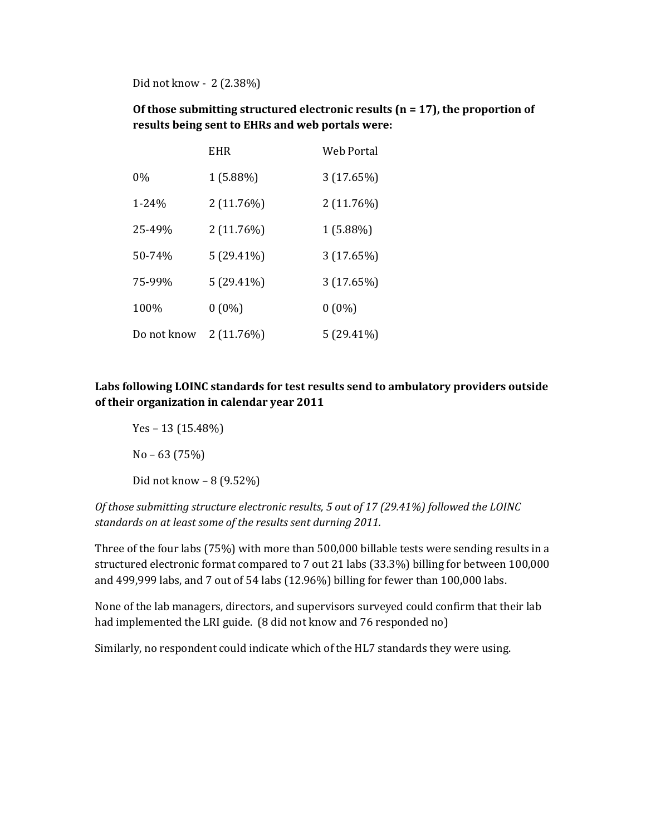Did not know - 2 (2.38%)

# **Of those submitting structured electronic results (n = 17), the proportion of results being sent to EHRs and web portals were:**

|             | <b>EHR</b>   | Web Portal   |
|-------------|--------------|--------------|
| 0%          | $1(5.88\%)$  | 3(17.65%)    |
| $1 - 24%$   | 2 (11.76%)   | 2 (11.76%)   |
| 25-49%      | 2 (11.76%)   | $1(5.88\%)$  |
| 50-74%      | $5(29.41\%)$ | 3(17.65%)    |
| 75-99%      | 5 (29.41%)   | 3(17.65%)    |
| 100%        | $0(0\%)$     | $0(0\%)$     |
| Do not know | 2 (11.76%)   | $5(29.41\%)$ |

# **Labs following LOINC standards for test results send to ambulatory providers outside of their organization in calendar year 2011**

Yes – 13 (15.48%)  $No - 63 (75%)$ Did not know – 8 (9.52%)

*Of those submitting structure electronic results, 5 out of 17 (29.41%) followed the LOINC standards on at least some of the results sent durning 2011.*

Three of the four labs (75%) with more than 500,000 billable tests were sending results in a structured electronic format compared to 7 out 21 labs (33.3%) billing for between 100,000 and 499,999 labs, and 7 out of 54 labs (12.96%) billing for fewer than 100,000 labs.

None of the lab managers, directors, and supervisors surveyed could confirm that their lab had implemented the LRI guide. (8 did not know and 76 responded no)

Similarly, no respondent could indicate which of the HL7 standards they were using.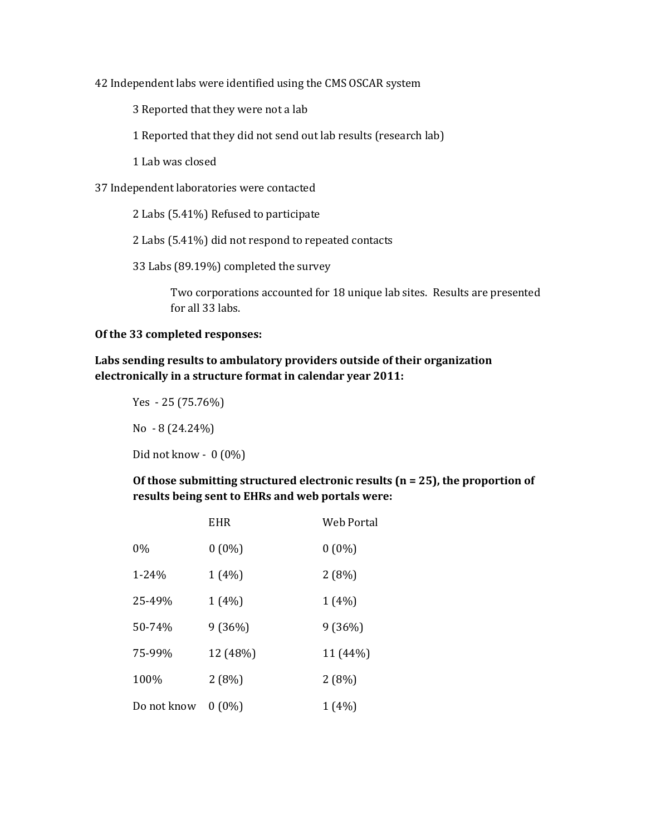42 Independent labs were identified using the CMS OSCAR system

3 Reported that they were not a lab

1 Reported that they did not send out lab results (research lab)

1 Lab was closed

37 Independent laboratories were contacted

2 Labs (5.41%) Refused to participate

2 Labs (5.41%) did not respond to repeated contacts

33 Labs (89.19%) completed the survey

Two corporations accounted for 18 unique lab sites. Results are presented for all 33 labs.

#### **Of the 33 completed responses:**

#### **Labs sending results to ambulatory providers outside of their organization electronically in a structure format in calendar year 2011:**

Yes - 25 (75.76%) No - 8 (24.24%) Did not know - 0 (0%)

### **Of those submitting structured electronic results (n = 25), the proportion of results being sent to EHRs and web portals were:**

|             | <b>EHR</b> | <b>Web Portal</b> |
|-------------|------------|-------------------|
| $0\%$       | $0(0\%)$   | $0(0\%)$          |
| $1 - 24%$   | $1(4\%)$   | 2(8%)             |
| 25-49%      | $1(4\%)$   | $1(4\%)$          |
| 50-74%      | 9(36%)     | 9(36%)            |
| 75-99%      | 12 (48%)   | 11 (44%)          |
| 100%        | 2(8%)      | 2(8%)             |
| Do not know | $0(0\%)$   | $1(4\%)$          |